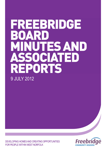# FREEBRIDGE BOAR MINUTES AND SSOCIATED REPORTS 9 JULY 2012

DEVELOPING HOMES AND CREATING OPPORTUNITIES FOR PEOPLE WITHIN WEST NORFOLK

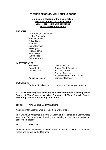# **FREEBRIDGE COMMUNITY HOUSING BOARD**

# **Minutes of a Meeting of the Board held on Monday 9 July 2012 at 6.55pm in the Conference Room, Juniper House, Austin Street, King's Lynn**

## **PRESENT:**

| Ray Johnson (Chairman) |
|------------------------|
| Lesley Bambridge       |
| <b>Matthew Brown</b>   |
| <b>Sylvia Calver</b>   |
| John Fox               |
| Irene Gammon           |
| <b>Bill Guyan</b>      |
| Michael Jervis         |
| Paul Leader            |
| Ian Pinches            |
| <b>Colin Sampson</b>   |

## **IN ATTENDANCE:**

| <b>Tony Hall</b>     | $\blacksquare$ | <b>Chief Executive</b>           |
|----------------------|----------------|----------------------------------|
| Sean Kent            | $\blacksquare$ | <b>Deputy Chief Executive</b>    |
| <b>Colin Davison</b> | $\blacksquare$ | <b>Assistant Director of</b>     |
|                      |                | <b>Property Services</b>         |
|                      |                | (minute numbers 100/12 - 107/12) |
| Angus MacQueen -     |                | <b>Company Secretary</b>         |
|                      |                |                                  |

# **OBSERVER:**

Barbara McLellan - Homes and Communities Agency

**NOTE: The meeting was preceded by a presentation on "Leading Health Safety at Work" given by Mike Grammer of West Norfolk Safety, Freebridge's Health and Safety consultant.** 

# **100/12 APOLOGIES AND WELCOME**

An apology for absence was received from Steve Clark.

The Chairman welcomed Barbara McLellan of the Homes and Communities Agency (HCA), who was observing the meeting as part of the regulatory assessment process.

## **101/12 MINUTES**

The minutes of the meeting held on 28 May 2012 were confirmed as a correct record and signed by the Chairman.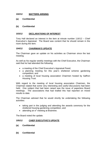# **102/12 MATTERS ARISING**

**(a) Confidential** 

# **(b) Confidential**

# **103/12 DECLARATIONS OF INTEREST**

Tony Hall declared an interest in the item at minute number 116/12 – Chief Executive's Appraisal. The Board was content that he should remain in the room during the item.

# **104/12 CHAIRMAN'S UPDATE**

The Chairman gave an update on his activities as Chairman since the last meeting.

As well as his regular weekly meetings with the Chief Executive, the Chairman said that he had attended the following:

- a meeting of the Chief Executive's Appraisal Panel;
- a planning meeting for this year's sheltered scheme gardening competition; and
- a meeting of local housing association Chairmen hosted by Saffron Housing Trust.

With regard to the meeting of local housing association Chairmen, the Chairman stated that some very interesting and useful discussions had been held. One subject that had been raised was the issue of paperless Board meetings. The associations that had trialled this had reported on mixed results to date.

The Chairman advised that he would shortly be undertaking the following activities:

- taking part in the judging and attending the awards ceremony for the sheltered housing gardening competition; and
- attending an  $e^2$  meeting at Braintree.

The Board noted the update.

# **105/12 CHIEF EXECUTIVE'S UPDATE**

- **(a) Confidential**
- **(b) Confidential**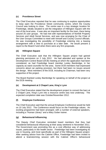# **(c) Providence Street**

The Chief Executive reported that he was continuing to explore opportunities to keep open the Providence Street community centre, which the County Council was looking to close. The centre was in a key strategic location for Freebridge, ideally situated to aid the integration of Hillington Square with the rest of the local area. It was also an important facility for the town, there being around 25 user groups. He had met with representatives of Norfolk Property Services and Adult Social Services, and was now arranging for the Chair of the User Groups Committee to meet with himself and County Council officials. He was investigating the possibility of Freebridge entering into a leasing arrangement with a view to purchase at a later date. He would present a report to the Board if and when there were any firm proposals.

# **(d) Hillington Square**

The Chief Executive said that the Hillington Square project had gained planning permission on 2 July 2012. He had attended and spoken at the Development Control Board (DCB) meeting at which the application had been considered, as had Freebridge board member Lesley Bambridge, in her capacity as ward councillor for the area. Some DCB members had expressed concerns about car parking provision, but there had been no issues around the design. Most members of the DCB, including its Chairman, had been very supportive of the project.

The Board thanked Lesley Bambridge for speaking on behalf of the project at the DCB meeting.

# **(e) Development at 2 Chapel Lane, King's Lynn**

The Chief Executive stated that the development project to convert the barn at 2 Chapel Lane, King's Lynn into a resource centre was now underway. The expected completion date was October/November 2012.

# **(f) Employee Conference**

The Chief Executive said that the annual Employee Conference would be held on 10 July 2012. The Conference would focus on the Freebridge values. An exciting programme had been arranged, with a number of external speakers, including a "Human Library" and a Mary Gober trainer.

# **(g) Behavioural Influencing**

The Deputy Chief Executive reminded board members that they had considered behavioural influencing at their away weekend in November 2011. The Government was promoting this as a cost effective way of addressing issues, particularly in the health sector. Freebridge had been investigating its use in housing, and most specifically as part of the Hillington Square project. After seeking advice from the Cabinet Office, Freebridge had been invited to attend a brainstorming session with the Cabinet Office's behavioural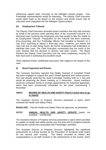influencing support team, focusing on the Hillington Square project. Four Freebridge representatives would be attending. The Deputy Chief Executive would report back to the Board on the session and would ensure that its outcomes were integrated into the Hillington Square project.

# **(h) Employment Tribunal**

The Deputy Chief Executive reminded board members that they had received an email in the previous week advising them of the successful outcome of a dismissal case, involving two employees who had sought to take the matter to an Employment Tribunal. Preparation for the Tribunal had been extremely time-consuming, and four Freebridge officers had travelled to Norwich on 4 July 2012 expecting to attend a three-day case. However, just before the case was due to start being heard, the former employees had undertaken to withdraw their case. The Chief Executive commented that the result of the case showed that the decision to dismiss had been correct. The Board thanked the Deputy Chief Executive and the other employees involved for their hard work in achieving this excellent result.

There followed further confidential discussion with regard to the details of this case.

# **(i) Board Appraisal and Review**

The Company Secretary reported that Debby Ounsted of Campbell Tickell had been engaged to support this year's Board appraisal and review process. She had already observed the Audit Committee meeting held on 2 July and would be observing the Board meeting on 5 November. Board members would be contacted shortly to arrange appointments for individual appraisals, which had been provisionally scheduled for the week commencing 5 November.

# **106/12 [REVIEW OF HEALTH AND SAFETY POLICY \(click here to go](#page-11-0)  to report)**

The Assistant Director of Property Services presented a report which reviewed the Health and Safety Policy.

**RESOLVED:** That the Health and Safety Policy be approved, as presented.

# **107/12 ANNUAL HEALTH AND SAFETY UPDATE** (report not available – confidential)

The Assistant Director of Property Services presented a report which provided an update on health and safety activity over the year and on progress towards reducing the overall risks associated with Freebridge's activities.

The Assistant Director of Property Services highlighted the significant achievement of a Royal Society for the Prevention of Accidents Gold Award for the second year running. The Board recorded its thanks and congratulations to all staff involved in the achievement of the Award, which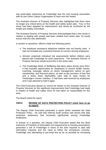was particularly impressive as Freebridge was the only housing association with its own Direct Labour Organisation to have won the Award.

The Assistant Director of Property Services also highlighted that there were no longer any critical items on the health and safety action plan. Four or five areas had been targeted for improvement and would be monitored by the Health and Safety Committee.

The Assistant Director of Property Services acknowledged that a few words in relation to dealing with sharps had been omitted from action plan; he would ensure that this was addressed.

In answer to questions, officers made the following points:

- The employee assistance telephone helpline was not heavily used. It had not revealed any consistent themes of concern among employees.
- Schools undertook individual risk assessments before children were placed with Freebridge for work experience. The Assistant Director of Property Services would record this in the action plan.
- The Freebridge Week of Wellbeing had taken place during June 2012. It had included opportunities for employees to receive health checks, coaching, massage, advice on stress management, advice on gym membership, and financial advice, as well as the provision of free fruit and a dress down day/healthy cake stall to raise money for Freebridge's chosen charities. It had been well-received by employees and it was planned to hold it again.

The Chief Executive placed on record his thanks to the Assistant Director of Property Services for the significant improvements that Freebridge had made in respect of health and safety since he had taken on responsibility for this area.

The Board noted the report.

# **108/12 [REVIEW OF DATA PROTECTION POLICY \(click here to go](#page-13-0)  to report)**

The Deputy Chief Executive presented a report which reviewed the Data Protection Policy. He said that Internal Audit reviews had shown that data protection awareness had increased significantly among Freebridge employees.

In answer to a question, the Deputy Chief Executive stated that the likely extension of Freedom of Information Act requirements to housing associations presented a risk to Freebridge in terms of the time required to deal with information requests and the need to follow the procedures correctly. Freebridge was attempting to pre-empt this as far as possible by increasing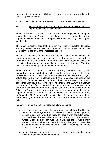the amount of information published on its website, particularly in relation to purchasing and contracts.

**RESOLVED:** That the Data Protection Policy be approved, as presented.

# **109/12 PROPOSED LEASE/PURCHASE OF PLAXTOLE HOUSE** (report not available – confidential)

The Chief Executive presented a report which set out proposals that sought to secure the future of Plaxtole House, King's Lynn, a learning facility and supported accommodation for young people currently owned by the College of West Anglia.

The Chief Executive said that, although the report requested delegated authority to enter into the necessary agreements, he would refer these to the Board for final approval if the timescales allowed.

The Chief Executive stated that the project was a good example of partnership working, and was gaining a real momentum. As well as Freebridge, the College and the Borough Council were already involved, and a specialist housing provider would also need to become a partner. The risks of the project were being spread across the partners.

The Chief Executive said that he and Kassie Melnyk (the consultant engaged to assist with the project) had met with the staff team and parents of the users of Plaxtole House. It was clear that this was a much needed and highly valued facility, and that its closure would have a significant impact on the quality of life of its users. Although there were currently 24 users, accommodation could realistically be provided for around 30, with a maximum provision for 50. Going forward, it might be possible to work with other partners to establish supported housing for users to move into once they had finished at Plaxtole House, or to arrange for them to spend some time at the supported complex at Thornage. The intention was for the facility to be ready by September 2012; urgent works to satisfy fire safety requirements would be undertaken by then, with further maintenance and improvement works to follow.

In answer to questions, officers made the following points:

- The Government was currently considering the withdrawal of Housing Benefit for people aged under 25. Should this occur, it was hoped that a special exception would be made for people with particular needs, such as those who used Plaxtole House. In the worst case scenario, where a special exception was not made, the facility would most probably have to close and the exit strategy instigated. Tenancies would be on a six-month licence, in order to limit Freebridge's exposure to such an eventuality.
- A flood risk assessment would be carried out and would reveal whether there were any concerns over drainage.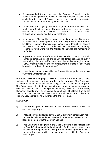- Discussions had taken place with the Borough Council regarding Housing Benefit provision. Advice on Housing Benefit was being made available to the users of Plaxtole House. It was intended to establish the income stream from Housing Benefit quickly.
- Discussions were ongoing with the College in terms of what activities it would run at Plaxtole House. The need to be sensitive to the existing users would be taken into account. The insurance situation in relation to these activities also needed to be resolved.
- Users came to Plaxtole House through a variety of means. Some were as a result of a course application to the College, some were referred by Norfolk County Council, and some came through a specific application from parents. This was set to continue, although Freebridge would work with the College to increase the marketing of the facility.
- At present, no TUPE transfer of staff was intended. The facility would change its emphasis to one of primarily residential use, and as such it was unlikely that the staff's roles would be similar enough to merit TUPE. Opportunities for ongoing employment at Plaxtole House were being discussed with the current staff.
- It was hoped to make available the Plaxtole House project as a case study for partnership working.

The Board welcomed the project, which was in line with Freebridge's values and aimed to keep open an important facility for the area. The Board was reassured that there was a clear exit strategy in place should this be required. The Board also noted that this project was a good example of using an external consultant to provide specific expertise, which was a necessary element of operating with an Executive Team of two. The Board thanked the Chief Executive, the Deputy Chief Executive and the Assistant Director of Property Services for their hard work on the project to date.

# **RESOLVED:**

- 1) That Freebridge's involvement in the Plaxtole House project be approved in principle.
- 2) That authority be delegated to the Chief Executive in consultation with the Board Chairman and Lead Member for Resources to enter into a lease agreement with the Borough Council.
- 3) That authority be delegated to the Chief Executive in consultation with the Board Chairman and the Lead Member for Resources to agree any transitional arrangements, including a management agreement with a specialist housing provider and hire agreement with the College of West Anglia.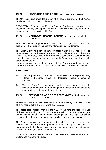# **110/12 NEW FUNDING CONDITIONS [\(click here to go to report\)](#page-15-0)**

The Chief Executive presented a report which sought approval for the 2012/13 Funding Conditions issued by the HCA.

**RESOLVED:** That the new 2012/13 Funding Conditions be approved, as presented, for any development under the Framework Delivery Agreement, including conversion to Affordable Rent.

# **111/12 MORTGAGE RESCUE SCHEME** (report not available – confidential)

The Chief Executive presented a report which sought approval for the purchase of three properties under the Mortgage Rescue Scheme.

The Chief Executive explained that purchases under the Mortgage Rescue Scheme often required some urgency and would only be pursued if they were viable. He, therefore, asked if the Board would consider that such purchases could be made under delegated authority in future, provided that certain parameters were met.

It was suggested that any future reports to the Board on mortgage rescues need not include full address details, so as to maximise individuals' privacy.

# **RESOLVED:**

- 1) That the purchase of the three properties listed in the report as being offered to Freebridge under the Mortgage Rescue Scheme be approved.
- 2) That the Chief Executive present to the next meeting proposals in relation to the establishment of delegated authority for purchases to be made under the Mortgage Rescue Scheme.

# **112/12 REQUEST TO WRITE OFF DEBTS OVER £2,000** (report not available – confidential)

The Deputy Chief Executive presented a report which sought approval to write off a number of debts that were worth over £2,000.

The Board acknowledged that the total value of the write-offs requested and of those made during 2011/12 was a very small proportion of Freebridge's annual income. It was also noted that Freebridge was in the upper quartile for rent collection when benchmarked against other housing associations.

The Board requested that benchmarking take place to establish the level of write-off that required Board approval in other housing associations. If appropriate, a higher figure could then be recommended in the forthcoming review of Freebridge's Financial Regulations.

It was noted that the level of bad debt was likely to increase when the new welfare reforms were introduced.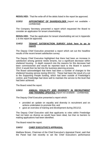**RESOLVED:** That the write-off of the debts listed in the report be approved.

# **113/12 APPOINTMENT OF SHAREHOLDER** (report not available – confidential)

The Company Secretary presented a report which requested the Board to consider an application for tenant shareholding.

**RESOLVED:** That the application for tenant shareholding set out in Appendix 1 to the report be approved.

# **114/12 [TENANT SATISFACTION SURVEY \(click here to go to](#page-17-0) report)**

The Deputy Chief Executive presented a report which set out the headline results of the recent tenant satisfaction survey.

The Deputy Chief Executive highlighted that there had been an increase in satisfaction among general needs tenants, but a significant decrease within sheltered housing. In depth research into the reasons for this decrease had been commissioned and would be reported back to the Board in autumn 2012; it would then be fed into the business planning process.

The Board acknowledged that there had been a number of changes to the sheltered housing service during 2011/12. These had been the result of a cut to the Supporting People funding, which had been outside of Freebridge's control, and Freebridge had done well to maintain the service to the level that had been achieved.

The Board noted the report.

# **115/12 ANNUAL EQUALITY AND DIVERSITY IN RECRUITMENT AND TRAINING UPDATES** (report not available – confidential)

The Deputy Chief Executive presented a report which:

- provided an update on equality and diversity in recruitment and on actions undertaken to promote this; and
- gave an overview of training and development during 2011/12.

The Deputy Chief Executive said that applicants to roles within Freebridge had not been as diverse as would have been ideal, but that no barriers to making applications had been identified.

The Board noted the report.

# **116/12 CHIEF EXECUTIVE'S APPRAISAL**

Matthew Brown, Chairman of the Chief Executive's Appraisal Panel, said that the Panel had met recently to set the Chief Executive's performance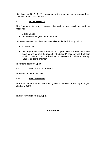objectives for 2012/13. The outcome of the meeting had previously been circulated to all board members.

# **117/12 WORK UPDATE**

The Company Secretary presented the work update, which included the following:

- Action Sheet
- Future Work Programme of the Board.

In answer to questions, the Chief Executive made the following points:

- Confidential
- Although there were currently no opportunities for new affordable housing arising from the recently introduced Military Covenant, officers would continue to monitor the situation in conjunction with the Borough Council and RAF Marham.

The Board noted the update.

# **118/12 ANY OTHER BUSINESS**

There was no other business.

## **119/12 NEXT MEETING**

The Board noted that its next meeting was scheduled for Monday 6 August 2012 at 6.30pm.

**The meeting closed at 8.40pm.** 

**CHAIRMAN**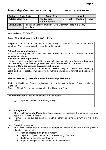<span id="page-11-0"></span>

| <b>Author</b>                                                                                    |  | <b>Colin Davison</b> | <b>Report Type</b>     | <b>Impact</b> |             |               |     |  |
|--------------------------------------------------------------------------------------------------|--|----------------------|------------------------|---------------|-------------|---------------|-----|--|
| <b>Related Work Ref.</b>                                                                         |  |                      | <b>For Decision</b>    |               | <b>High</b> | <b>Medium</b> | Low |  |
|                                                                                                  |  |                      | <b>For Information</b> |               |             |               |     |  |
| Health and Safety Committee, Mike Grammar - Health & Safety<br><b>Consultation</b><br>consultant |  |                      |                        |               |             |               |     |  |

# **Meeting Date: 9<sup>th</sup> July 2011**

# **Report Title: Review of Health & Safety Policy**

**Purpose:** To present the Health & Safety Policy – available to view on the Board Members' Website, alongside the agenda for this meeting.

# **Policy/Strategy Implications:**

It fits with the organisation's Business Plan objectives, Vision and Values and Risk Management Strategy.

# **Finance and VFM Implications:**

The policy aims to reduce the cost involved with dealing with the effects of a breach of Health & Safety within Freebridge associated with Tenants, staff & contractors.

# **Customer Care/Equality and Diversity Implications:**

Equality Impact Assessment completed on revised policy and procedures. Improving health and safety practices will improve the working environment for staff and customers alike.

# **Risk Assessment (cross-reference with Freebridge Risk Map):**

Risk 11.0 Health and Safety, Legislation not complied with – Impact Critical, likelihood Significant.

Risk 11.1 Fire Safety, Impact catastrophic, Likelihood significant.

**Recommendations:** It is recommended that the Board:

(i) Approves the Health & Safety Policy.

# **1.0 Background**

- 1.1 The Health & Safety Policy has been updated to recognise Freebridge's corporate approach to Health & Safety.
- 1.2 It aims to focus our approach to Health & Safety, ensuring a fit with our vision and values.

# **2.0 Strategic elements**

- 2.1 The Policy incorporates a number of appropriate actions to ensure that the policy is effectively implemented:
	- Regular updates through team meetings
	- Inspection of premises and accurate recording of actions
	- Staff training and refresher training
	- Regular testing of systems and maintenance checks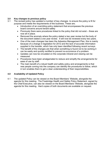# **3.0 Key changes to previous policy**

- 3.1 The revised policy has updated a number of key changes to ensure the policy is fit for purpose and meets the requirements of the business. These are;
	- Introduction of an overriding policy statement that encompasses the previous board concerns around tenant safety
	- Previously there were procedures linked to the policy that did not exist these are now all in place.
	- Removed the anomaly where the policy stated a two year review but the body of the document stated a one year review. It will now be reviewed every two years.
	- One of the main changes has been the Asbestos Management Plan, this is mainly because of a change in legislation for 2012 and the lack of accurate information supplied in the transfer, which has only been identified following recent surveys.
	- The benefit of the changes are that when something is found not to be working it can be easily and quickly rectified to prevent re-occurrence of a problem.
	- Updates can now be circulated on the corporate intranet and viewing can be measured
	- Procedures have been amalgamated to reduce and simplify the arrangements for ease of use by staff.
	- The main benefit of a robust health and safety policy and arrangements is that new people coming into the company can identify the procedures to follow, which in turn enables them to get a clear understanding of their responsibilities.

# **4.0 Availability of Updated Policy**

4.1 The updated Policy can be viewed on the Board Members' Website, alongside the agenda for this meeting. The Freebridge Health and Safety Policy Statement, signed by the Chief Executive, can also be viewed on the Board Members' Website, alongside the agenda for this meeting. Hard copies of both documents are available on request.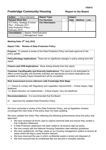<span id="page-13-0"></span>

| <b>Author</b>                                                                                                 | Dave Clements | <b>Report Type</b>     | <b>Impact</b> |             |               |     |
|---------------------------------------------------------------------------------------------------------------|---------------|------------------------|---------------|-------------|---------------|-----|
| <b>Related Work Ref.</b>                                                                                      |               | <b>For Decision</b>    |               | <b>High</b> | <b>Medium</b> | Low |
| <b>ICT Policy, Strategy &amp; Action</b><br>Plan - February 2011<br>Data Protection Policy -<br>February 2010 |               | <b>For Information</b> |               |             |               |     |
| <b>Consultation</b><br><b>Deputy Chief Executive</b><br><b>Management Team</b>                                |               |                        |               |             |               |     |

# **Meeting Date: 9<sup>th</sup> July 2012**

# **Report Title: Review of Data Protection Policy**

**Purpose:** To present a review of the Data Protection Policy and seek approval to the policy update.

**Policy/Strategy Implications:** There are no significant changes in policy arising from this report.

**Finance and VFM Implications:** None arising directly from this report.

**Customer Care/Equality and Diversity Implications:** This report is not anticipated to affect current Equality and Diversity activities and standards but where implications are possible an Equality Impact Assessment will be completed.

# **Risk Assessment (cross-reference with Freebridge Risk Map):**

1.1 Failure to comply with Regulatory and Legislation requirements – Critical impact, High likelihood

1.2 Board direction not implemented – Critical impact, Very low likelihood

**Recommendations:** It is recommended that the Board:

(i) Approves the updated Data Protection Policy.

We have conducted a review of the Data Protection Policy, and as legislation remains unchanged the main body of the policy does not need updating.

We have updated the Action Plan reflecting the following achievements since the policy was approved:-

- We have reviewed all forms used to capture personal data and ensure they contain a Fair Collection Statement.
- A Data Protection addendum has been added to all tenancy sign-up packs.
- We now comply with the National Housing Federation data retention guidelines.
- We have updated the 'red flag' cases on our housing management system to ensure all cases where the flag is used remains relevant.
- We have improved the way in which confidential waste is stored and disposed of.
- We have ensured that all confidential files are secured in lockable cabinets.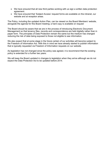- We have ensured that all new third parties working with us sign a written data protection agreement.
- We have ensured that 'Subject Access' request forms are available on the intranet, our website and at reception areas.

The Policy, including the updated Action Plan, can be viewed on the Board Members' website, alongside the agenda for this Board meeting; a hard copy is available on request

The Board should be aware that we are in the process of introducing Electronic Document Management so that tenancy files, records and correspondence are held digitally rather than in paper form. The principles of Data Protection remain the same but the medium has changed reducing the risk of data being exposed to those not eligible to see information.

We also expect that at some stage in the future certain of our activities will become subject to the Freedom of Information Act. With this in mind we have already started to publish information that is typically requested via Freedom of Information requests on our website.

As legislation has not changed since the policy was agreed, it is recommend that the existing policy is extended for a further two years.

We will keep the Board updated in changes to legislation when they arrive although we do not expect the Data Protection Act to be updated before 2014.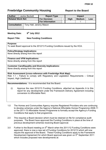<span id="page-15-0"></span>

| <b>Author</b>            |  | <b>Jackie Beckett</b>   | <b>Report Type</b>     | <b>Impact</b> |             |               |     |  |
|--------------------------|--|-------------------------|------------------------|---------------|-------------|---------------|-----|--|
| <b>Related Work Ref.</b> |  |                         | <b>For Decision</b>    |               | <b>High</b> | <b>Medium</b> | Low |  |
|                          |  |                         | <b>For Information</b> |               |             |               |     |  |
| <b>Consultation</b>      |  | Tony Hall, Jeremy Mason |                        |               |             |               |     |  |

# Meeting Date: 9<sup>th</sup> July 2012

# **Report Title: New Funding Conditions**

**Purpose:** 

To seek Board approval to the 2012/13 Funding Conditions issued by the HCA.

# **Policy/Strategy Implications:**

None directly arising from this report

# **Finance and VFM Implications:**

None directly arising from this report

# **Customer Care/Equality and Diversity Implications:**

None directly arising from this report

# **Risk Assessment (cross-reference with Freebridge Risk Map):**

Risk 1.1 – Failure to comply with Regulatory and Legislation Requirements – Critical Impact, High Likelihood

**Recommendations:** It is recommended that the Board:

- (i) Approve the new 2012/13 Funding Conditions, attached as Appendix A to this report for any development under the Framework Delivery Agreement including conversion to Affordable Rent.
- 1.0 The Homes and Communities Agency requires Registered Providers who are continuing to develop schemes under the Agency's National Affordable Homes Programme 2008-11 or the 2011-15 Affordable Homes Programme to formally accept the Agency's Funding Conditions that apply to that programme.
- 2.0 This requires a Board decision which must be retained on file for compliance audit purposes. The Board have approved the Funding Conditions in place at the time of previous development schemes receiving Board approval.
- 3.0 Further to the Board meeting on  $5<sup>th</sup>$  March when the 2011/12 Funding Conditions were approved, there is now a new set of Funding Conditions for 2012/13 which will now require the approval of the Board. These Funding Conditions apply to the Framework Development Agreement for which Board approval was given on 5<sup>th</sup> September 2011 which includes proposed new developments at: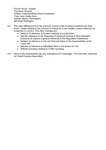Church Drove, Outwell The Wroe, Emneth Chiltern Crescent/Willow Road Hunstanton Town Lane Castle Acre Gelham Manor, Dersingham Mill Road Watlington

- 4.0 The main differences from the previous version of the Funding Conditions are fairly minor, mostly relating to the inclusion of reference to the Greater London Authority for properties in London. The other changes are:
	- Deletion of reference to modern methods of construction
	- Specific reference to the Regulatory Framework Annexe A Rent Standard Guidance (to replace a general reference to the Regulatory Framework)
	- Deletion of reference to risk and financial status in the responsibilities of the "Lead" RP
	- Deletion of reference to Affordable Rent in the section on rent
	- Different provision relating to CORE recording
- 5.0 None of the amendments has any implications for Freebridge. This has been confirmed by Orwell Housing Association.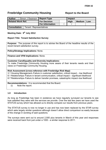<span id="page-17-0"></span>

| <b>Author</b>            |                               | Simon J Swanson     | Report Type            | Impact      |               |     |  |
|--------------------------|-------------------------------|---------------------|------------------------|-------------|---------------|-----|--|
| <b>Related Work Ref.</b> |                               | <b>For Decision</b> |                        | <b>High</b> | <b>Medium</b> | Low |  |
|                          |                               |                     | <b>For Information</b> |             |               |     |  |
| <b>Consultation</b>      | <b>Tenant Representatives</b> |                     |                        |             |               |     |  |

# **Meeting Date: 9<sup>th</sup> July 2012**

# **Report Title: Tenant Satisfaction Survey**

**Purpose:** The purpose of this report is to advise the Board of the headline results of the recent tenant satisfaction survey.

**Policy/Strategy Implications:** None.

**Finance and VFM Implications:** None.

# **Customer Care/Equality and Diversity Implications:**

To make Freebridge Community Housing more aware of their tenants needs and their views on Freebridge Community Housing.

# **Risk Assessment (cross-reference with Freebridge Risk Map):**

3.1 Housing Management–Failure in customer satisfaction, critical impact – low likelihood 8.1 Relationships–Failure in tenant communication, critical impact – significant likelihood 8.7 Relationships–Failure to deliver transfer promises, catastrophic impact–low likelihood

**Recommendations:** It is recommended that the Board:

(i) Note the report.

# **1.0 Introduction**

As long as Freebridge has been in existence we have regularly surveyed our tenants to see how satisfied they were with the services we provide. Over the last few years we have used the STATUS survey which has allowed us to directly compare our results from previous years.

The STATUS survey is now no longer in use and has now been replaced by the STAR survey which asks largely similar questions although doesn't allow direct comparison so easily because of the change in wording of said questions.

The surveys were sent out to around 2,500 plus tenants in March of this year and responses were received back from just under a 1000 - a similar response to 2011.